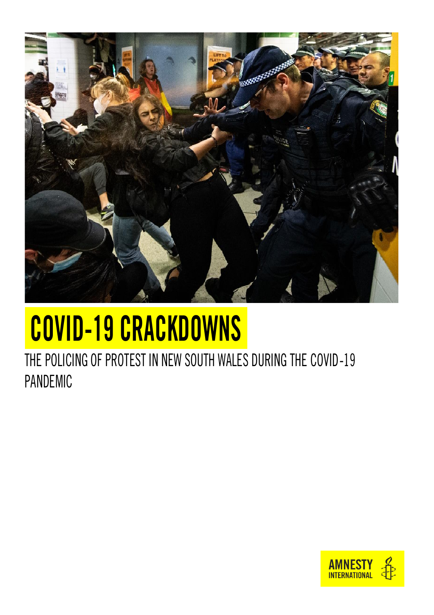

## COVID-19 CRACKDOWNS

THE POLICING OF PROTEST IN NEW SOUTH WALES DURING THE COVID-19 PANDEMIC

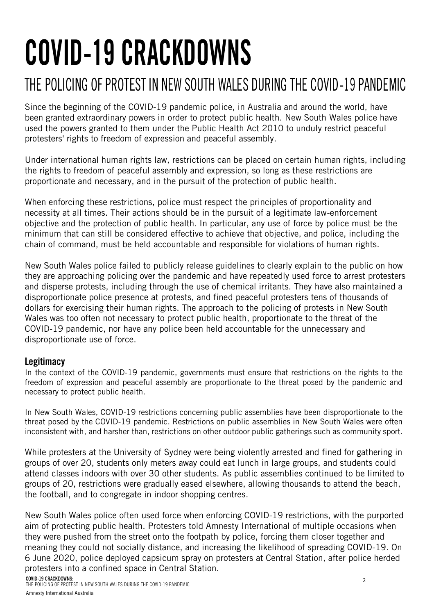# COVID-19 CRACKDOWNS

### THE POLICING OF PROTEST IN NEW SOUTH WALES DURING THE COVID-19 PANDEMIC

Since the beginning of the COVID-19 pandemic police, in Australia and around the world, have been granted extraordinary powers in order to protect public health. New South Wales police have used the powers granted to them under the Public Health Act 2010 to unduly restrict peaceful protesters' rights to freedom of expression and peaceful assembly.

Under international human rights law, restrictions can be placed on certain human rights, including the rights to freedom of peaceful assembly and expression, so long as these restrictions are proportionate and necessary, and in the pursuit of the protection of public health.

When enforcing these restrictions, police must respect the principles of proportionality and necessity at all times. Their actions should be in the pursuit of a legitimate law-enforcement objective and the protection of public health. In particular, any use of force by police must be the minimum that can still be considered effective to achieve that objective, and police, including the chain of command, must be held accountable and responsible for violations of human rights.

New South Wales police failed to publicly release guidelines to clearly explain to the public on how they are approaching policing over the pandemic and have repeatedly used force to arrest protesters and disperse protests, including through the use of chemical irritants. They have also maintained a disproportionate police presence at protests, and fined peaceful protesters tens of thousands of dollars for exercising their human rights. The approach to the policing of protests in New South Wales was too often not necessary to protect public health, proportionate to the threat of the COVID-19 pandemic, nor have any police been held accountable for the unnecessary and disproportionate use of force.

#### **Legitimacy**

In the context of the COVID-19 pandemic, governments must ensure that restrictions on the rights to the freedom of expression and peaceful assembly are proportionate to the threat posed by the pandemic and necessary to protect public health.

In New South Wales, COVID-19 restrictions concerning public assemblies have been disproportionate to the threat posed by the COVID-19 pandemic. Restrictions on public assemblies in New South Wales were often inconsistent with, and harsher than, restrictions on other outdoor public gatherings such as community sport.

While protesters at the University of Sydney were being violently arrested and fined for gathering in groups of over 20, students only meters away could eat lunch in large groups, and students could attend classes indoors with over 30 other students. As public assemblies continued to be limited to groups of 20, restrictions were gradually eased elsewhere, allowing thousands to attend the beach, the football, and to congregate in indoor shopping centres.

New South Wales police often used force when enforcing COVID-19 restrictions, with the purported aim of protecting public health. Protesters told Amnesty International of multiple occasions when they were pushed from the street onto the footpath by police, forcing them closer together and meaning they could not socially distance, and increasing the likelihood of spreading COVID-19. On 6 June 2020, police deployed capsicum spray on protesters at Central Station, after police herded protesters into a confined space in Central Station.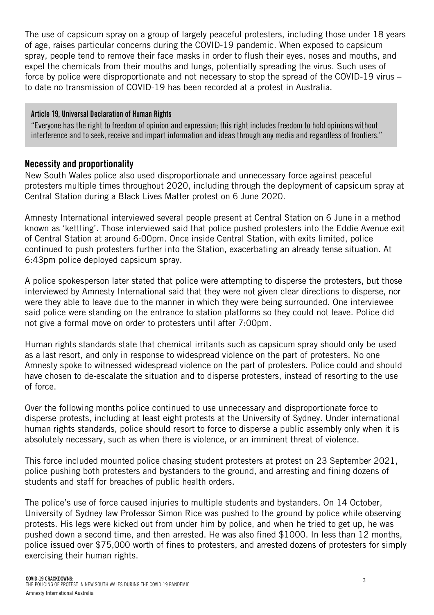The use of capsicum spray on a group of largely peaceful protesters, including those under 18 years of age, raises particular concerns during the COVID-19 pandemic. When exposed to capsicum spray, people tend to remove their face masks in order to flush their eyes, noses and mouths, and expel the chemicals from their mouths and lungs, potentially spreading the virus. Such uses of force by police were disproportionate and not necessary to stop the spread of the COVID-19 virus – to date no transmission of COVID-19 has been recorded at a protest in Australia.

#### Article 19, Universal Declaration of Human Rights

"Everyone has the right to freedom of opinion and expression; this right includes freedom to hold opinions without interference and to seek, receive and impart information and ideas through any media and regardless of frontiers."

#### Necessity and proportionality

New South Wales police also used disproportionate and unnecessary force against peaceful protesters multiple times throughout 2020, including through the deployment of capsicum spray at Central Station during a Black Lives Matter protest on 6 June 2020.

Amnesty International interviewed several people present at Central Station on 6 June in a method known as 'kettling'. Those interviewed said that police pushed protesters into the Eddie Avenue exit of Central Station at around 6:00pm. Once inside Central Station, with exits limited, police continued to push protesters further into the Station, exacerbating an already tense situation. At 6:43pm police deployed capsicum spray.

A police spokesperson later stated that police were attempting to disperse the protesters, but those interviewed by Amnesty International said that they were not given clear directions to disperse, nor were they able to leave due to the manner in which they were being surrounded. One interviewee said police were standing on the entrance to station platforms so they could not leave. Police did not give a formal move on order to protesters until after 7:00pm.

Human rights standards state that chemical irritants such as capsicum spray should only be used as a last resort, and only in response to widespread violence on the part of protesters. No one Amnesty spoke to witnessed widespread violence on the part of protesters. Police could and should have chosen to de-escalate the situation and to disperse protesters, instead of resorting to the use of force.

Over the following months police continued to use unnecessary and disproportionate force to disperse protests, including at least eight protests at the University of Sydney. Under international human rights standards, police should resort to force to disperse a public assembly only when it is absolutely necessary, such as when there is violence, or an imminent threat of violence.

This force included mounted police chasing student protesters at protest on 23 September 2021, police pushing both protesters and bystanders to the ground, and arresting and fining dozens of students and staff for breaches of public health orders.

The police's use of force caused injuries to multiple students and bystanders. On 14 October, University of Sydney law Professor Simon Rice was pushed to the ground by police while observing protests. His legs were kicked out from under him by police, and when he tried to get up, he was pushed down a second time, and then arrested. He was also fined \$1000. In less than 12 months, police issued over \$75,000 worth of fines to protesters, and arrested dozens of protesters for simply exercising their human rights.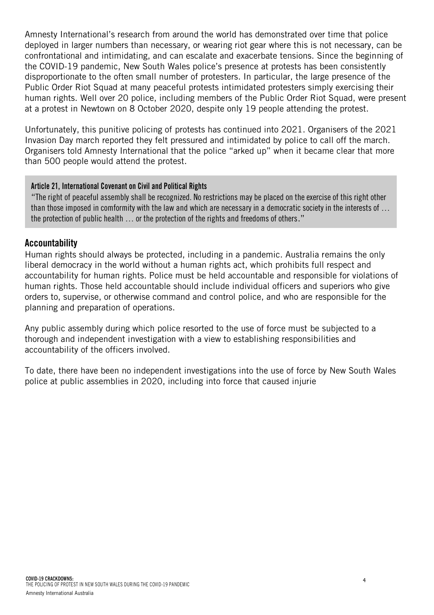Amnesty International's research from around the world has demonstrated over time that police deployed in larger numbers than necessary, or wearing riot gear where this is not necessary, can be confrontational and intimidating, and can escalate and exacerbate tensions. Since the beginning of the COVID-19 pandemic, New South Wales police's presence at protests has been consistently disproportionate to the often small number of protesters. In particular, the large presence of the Public Order Riot Squad at many peaceful protests intimidated protesters simply exercising their human rights. Well over 20 police, including members of the Public Order Riot Squad, were present at a protest in Newtown on 8 October 2020, despite only 19 people attending the protest.

Unfortunately, this punitive policing of protests has continued into 2021. Organisers of the 2021 Invasion Day march reported they felt pressured and intimidated by police to call off the march. Organisers told Amnesty International that the police "arked up" when it became clear that more than 500 people would attend the protest.

#### Article 21, International Covenant on Civil and Political Rights

"The right of peaceful assembly shall be recognized. No restrictions may be placed on the exercise of this right other than those imposed in comformity with the law and which are necessary in a democratic society in the interests of … the protection of public health … or the protection of the rights and freedoms of others."

#### **Accountability**

Human rights should always be protected, including in a pandemic. Australia remains the only liberal democracy in the world without a human rights act, which prohibits full respect and accountability for human rights. Police must be held accountable and responsible for violations of human rights. Those held accountable should include individual officers and superiors who give orders to, supervise, or otherwise command and control police, and who are responsible for the planning and preparation of operations.

Any public assembly during which police resorted to the use of force must be subjected to a thorough and independent investigation with a view to establishing responsibilities and accountability of the officers involved.

To date, there have been no independent investigations into the use of force by New South Wales police at public assemblies in 2020, including into force that caused injurie